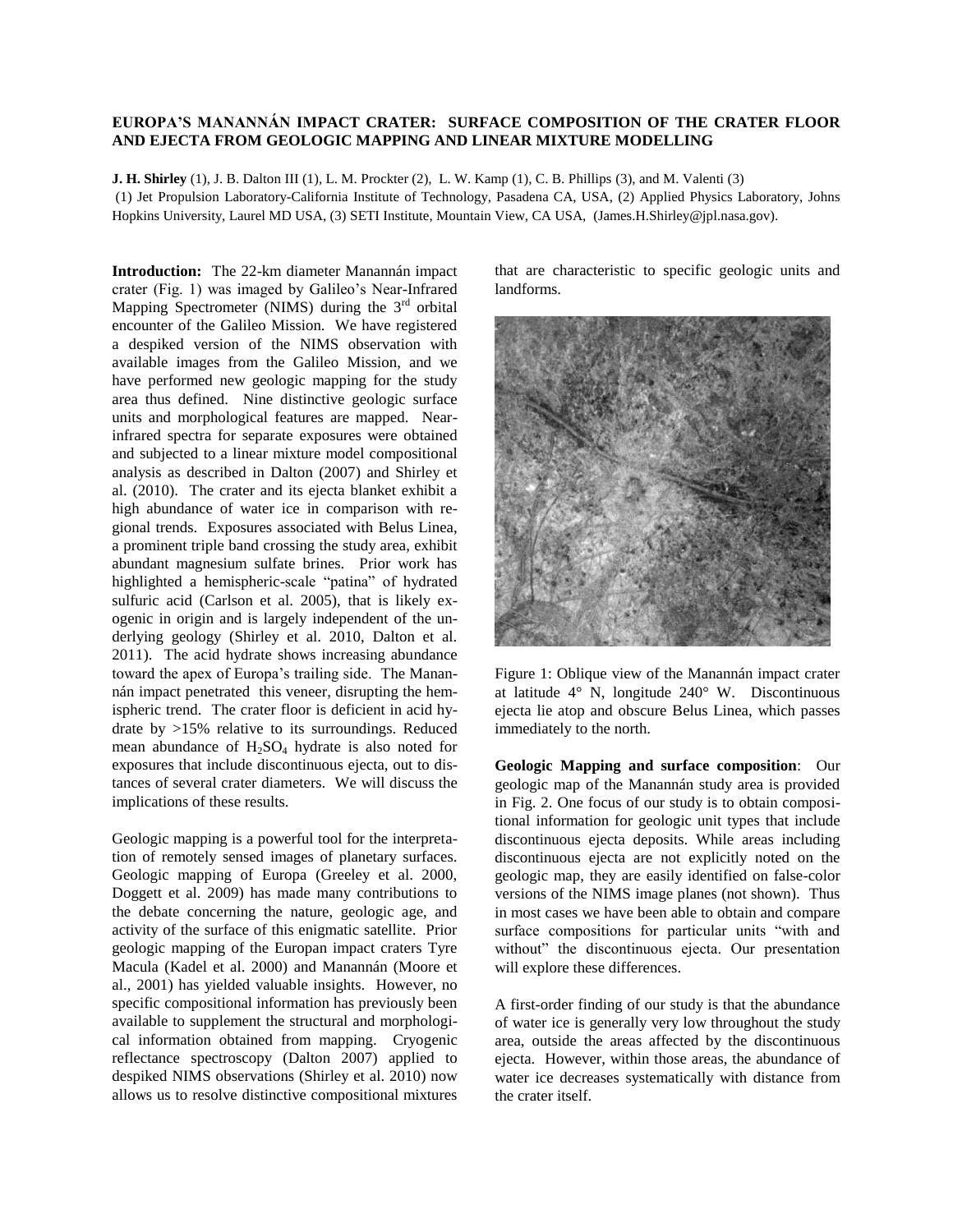## **EUROPA'S MANANNÁN IMPACT CRATER: SURFACE COMPOSITION OF THE CRATER FLOOR AND EJECTA FROM GEOLOGIC MAPPING AND LINEAR MIXTURE MODELLING**

**J. H. Shirley** (1), J. B. Dalton III (1), L. M. Prockter (2), L. W. Kamp (1), C. B. Phillips (3), and M. Valenti (3) (1) Jet Propulsion Laboratory-California Institute of Technology, Pasadena CA, USA, (2) Applied Physics Laboratory, Johns Hopkins University, Laurel MD USA, (3) SETI Institute, Mountain View, CA USA, (James.H.Shirley@jpl.nasa.gov).

**Introduction:** The 22-km diameter Manannán impact crater (Fig. 1) was imaged by Galileo's Near-Infrared Mapping Spectrometer (NIMS) during the 3<sup>rd</sup> orbital encounter of the Galileo Mission. We have registered a despiked version of the NIMS observation with available images from the Galileo Mission, and we have performed new geologic mapping for the study area thus defined. Nine distinctive geologic surface units and morphological features are mapped. Nearinfrared spectra for separate exposures were obtained and subjected to a linear mixture model compositional analysis as described in Dalton (2007) and Shirley et al. (2010). The crater and its ejecta blanket exhibit a high abundance of water ice in comparison with regional trends. Exposures associated with Belus Linea, a prominent triple band crossing the study area, exhibit abundant magnesium sulfate brines. Prior work has highlighted a hemispheric-scale "patina" of hydrated sulfuric acid (Carlson et al. 2005), that is likely exogenic in origin and is largely independent of the underlying geology (Shirley et al. 2010, Dalton et al. 2011). The acid hydrate shows increasing abundance toward the apex of Europa's trailing side. The Manannán impact penetrated this veneer, disrupting the hemispheric trend. The crater floor is deficient in acid hydrate by >15% relative to its surroundings. Reduced mean abundance of  $H_2SO_4$  hydrate is also noted for exposures that include discontinuous ejecta, out to distances of several crater diameters. We will discuss the implications of these results.

Geologic mapping is a powerful tool for the interpretation of remotely sensed images of planetary surfaces. Geologic mapping of Europa (Greeley et al. 2000, Doggett et al. 2009) has made many contributions to the debate concerning the nature, geologic age, and activity of the surface of this enigmatic satellite. Prior geologic mapping of the Europan impact craters Tyre Macula (Kadel et al. 2000) and Manannán (Moore et al., 2001) has yielded valuable insights. However, no specific compositional information has previously been available to supplement the structural and morphological information obtained from mapping. Cryogenic reflectance spectroscopy (Dalton 2007) applied to despiked NIMS observations (Shirley et al. 2010) now allows us to resolve distinctive compositional mixtures

that are characteristic to specific geologic units and landforms.



Figure 1: Oblique view of the Manannán impact crater at latitude 4° N, longitude 240° W. Discontinuous ejecta lie atop and obscure Belus Linea, which passes immediately to the north.

**Geologic Mapping and surface composition**: Our geologic map of the Manannán study area is provided in Fig. 2. One focus of our study is to obtain compositional information for geologic unit types that include discontinuous ejecta deposits. While areas including discontinuous ejecta are not explicitly noted on the geologic map, they are easily identified on false-color versions of the NIMS image planes (not shown). Thus in most cases we have been able to obtain and compare surface compositions for particular units "with and without" the discontinuous ejecta. Our presentation will explore these differences.

A first-order finding of our study is that the abundance of water ice is generally very low throughout the study area, outside the areas affected by the discontinuous ejecta. However, within those areas, the abundance of water ice decreases systematically with distance from the crater itself.